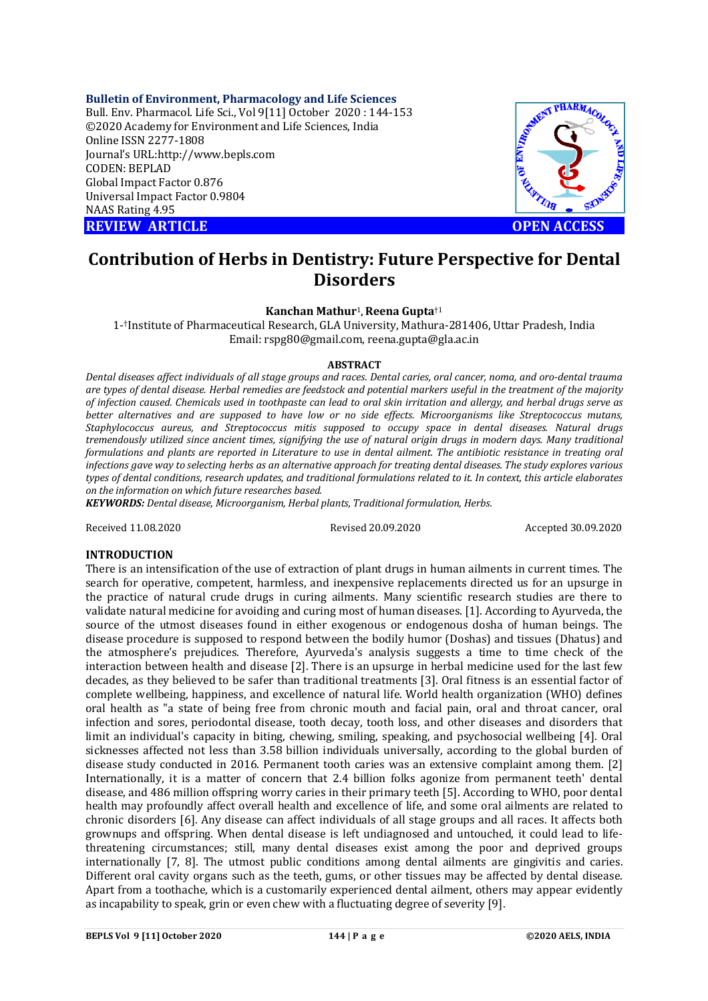### **Bulletin of Environment, Pharmacology and Life Sciences**

Bull. Env. Pharmacol. Life Sci., Vol 9[11] October 2020 : 144-153 ©2020 Academy for Environment and Life Sciences, India Online ISSN 2277-1808 Journal's URL:<http://www.bepls.com> CODEN: BEPLAD Global Impact Factor 0.876 Universal Impact Factor 0.9804 NAAS Rating 4.95 **REVIEW ARTICLE CONTROLLER CONTROLLER CONTROLLER CONTROLLER CONTROLLER CONTROLLER CONTROLLER CONTROLLER CONTROLLER CONTROLLER CONTROLLER CONTROLLER CONTROLLER CONTROLLER CONTROLLER CONTROLLER CONTROLLER CONTROLLER CONTROLL** 



# **Contribution of Herbs in Dentistry: Future Perspective for Dental Disorders**

### **Kanchan Mathur**1,**Reena Gupta**†1

1- †Institute of Pharmaceutical Research, GLA University, Mathura-281406, Uttar Pradesh, India Email: [rspg80@gmail.com,](mailto:rspg80@gmail.com,) [reena.gupta@gla.ac.in](mailto:reena.gupta@gla.ac.in)

#### **ABSTRACT**

*Dental diseases affect individuals of all stage groups and races. Dental caries, oral cancer, noma, and oro-dental trauma are types of dental disease. Herbal remedies are feedstock and potential markers useful in the treatment of the majority of infection caused. Chemicals used in toothpaste can lead to oral skin irritation and allergy, and herbal drugs serve as better alternatives and are supposed to have low or no side effects. Microorganisms like Streptococcus mutans, Staphylococcus aureus, and Streptococcus mitis supposed to occupy space in dental diseases. Natural drugs tremendously utilized since ancient times, signifying the use of natural origin drugs in modern days. Many traditional formulations and plants are reported in Literature to use in dental ailment. The antibiotic resistance in treating oral infections gave way to selecting herbs as an alternative approach for treating dental diseases. The study explores various types of dental conditions, research updates, and traditional formulations related to it. In context, this article elaborates on the information on which future researches based.* 

*KEYWORDS: Dental disease, Microorganism, Herbal plants, Traditional formulation, Herbs.* 

Received 11.08.2020 Revised 20.09.2020 Accepted 30.09.2020

### **INTRODUCTION**

There is an intensification of the use of extraction of plant drugs in human ailments in current times. The search for operative, competent, harmless, and inexpensive replacements directed us for an upsurge in the practice of natural crude drugs in curing ailments. Many scientific research studies are there to validate natural medicine for avoiding and curing most of human diseases. [1]. According to Ayurveda, the source of the utmost diseases found in either exogenous or endogenous dosha of human beings. The disease procedure is supposed to respond between the bodily humor (Doshas) and tissues (Dhatus) and the atmosphere's prejudices. Therefore, Ayurveda's analysis suggests a time to time check of the interaction between health and disease [2]. There is an upsurge in herbal medicine used for the last few decades, as they believed to be safer than traditional treatments [3]. Oral fitness is an essential factor of complete wellbeing, happiness, and excellence of natural life. World health organization (WHO) defines oral health as "a state of being free from chronic mouth and facial pain, oral and throat cancer, oral infection and sores, periodontal disease, tooth decay, tooth loss, and other diseases and disorders that limit an individual's capacity in biting, chewing, smiling, speaking, and psychosocial wellbeing [4]. Oral sicknesses affected not less than 3.58 billion individuals universally, according to the global burden of disease study conducted in 2016. Permanent tooth caries was an extensive complaint among them. [2] Internationally, it is a matter of concern that 2.4 billion folks agonize from permanent teeth' dental disease, and 486 million offspring worry caries in their primary teeth [5]. According to WHO, poor dental health may profoundly affect overall health and excellence of life, and some oral ailments are related to chronic disorders [6]. Any disease can affect individuals of all stage groups and all races. It affects both grownups and offspring. When dental disease is left undiagnosed and untouched, it could lead to lifethreatening circumstances; still, many dental diseases exist among the poor and deprived groups internationally [7, 8]. The utmost public conditions among dental ailments are gingivitis and caries. Different oral cavity organs such as the teeth, gums, or other tissues may be affected by dental disease. Apart from a toothache, which is a customarily experienced dental ailment, others may appear evidently as incapability to speak, grin or even chew with a fluctuating degree of severity [9].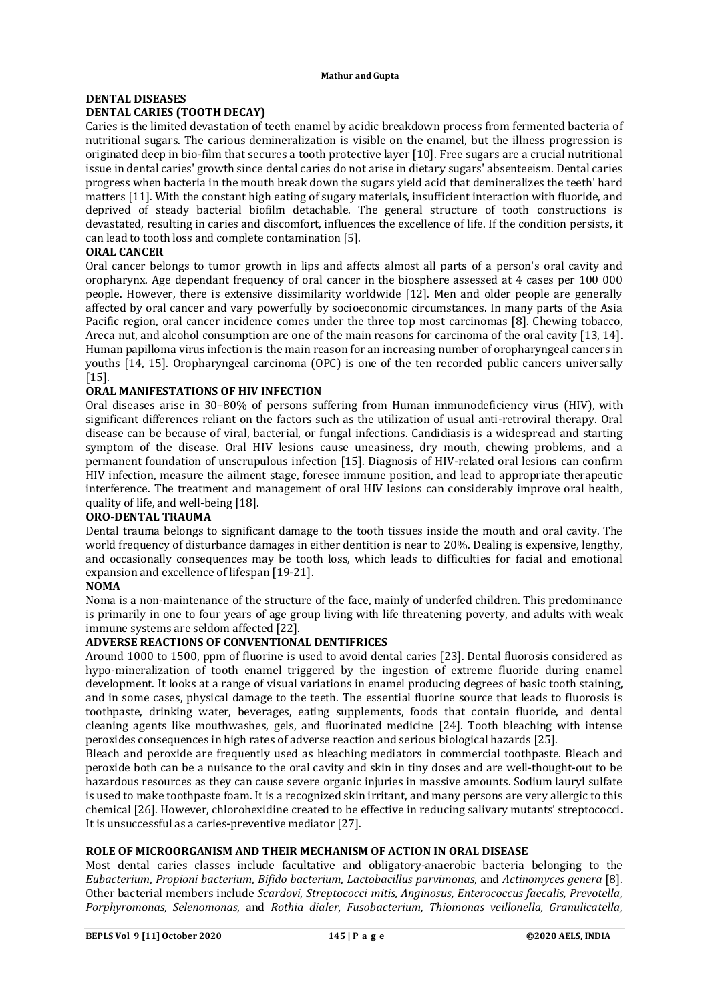## **DENTAL DISEASES DENTAL CARIES (TOOTH DECAY)**

Caries is the limited devastation of teeth enamel by acidic breakdown process from fermented bacteria of nutritional sugars. The carious demineralization is visible on the enamel, but the illness progression is originated deep in bio-film that secures a tooth protective layer [10]. Free sugars are a crucial nutritional issue in dental caries' growth since dental caries do not arise in dietary sugars' absenteeism. Dental caries progress when bacteria in the mouth break down the sugars yield acid that demineralizes the teeth' hard matters [11]. With the constant high eating of sugary materials, insufficient interaction with fluoride, and deprived of steady bacterial biofilm detachable. The general structure of tooth constructions is devastated, resulting in caries and discomfort, influences the excellence of life. If the condition persists, it can lead to tooth loss and complete contamination [5].

## **ORAL CANCER**

Oral cancer belongs to tumor growth in lips and affects almost all parts of a person's oral cavity and oropharynx. Age dependant frequency of oral cancer in the biosphere assessed at 4 cases per 100 000 people. However, there is extensive dissimilarity worldwide [12]. Men and older people are generally affected by oral cancer and vary powerfully by socioeconomic circumstances. In many parts of the Asia Pacific region, oral cancer incidence comes under the three top most carcinomas [8]. Chewing tobacco, Areca nut, and alcohol consumption are one of the main reasons for carcinoma of the oral cavity [13, 14]. Human papilloma virus infection is the main reason for an increasing number of oropharyngeal cancers in youths [14, 15]. Oropharyngeal carcinoma (OPC) is one of the ten recorded public cancers universally [15].

## **ORAL MANIFESTATIONS OF HIV INFECTION**

Oral diseases arise in 30–80% of persons suffering from Human immunodeficiency virus (HIV), with significant differences reliant on the factors such as the utilization of usual anti-retroviral therapy. Oral disease can be because of viral, bacterial, or fungal infections. Candidiasis is a widespread and starting symptom of the disease. Oral HIV lesions cause uneasiness, dry mouth, chewing problems, and a permanent foundation of unscrupulous infection [15]. Diagnosis of HIV-related oral lesions can confirm HIV infection, measure the ailment stage, foresee immune position, and lead to appropriate therapeutic interference. The treatment and management of oral HIV lesions can considerably improve oral health, quality of life, and well-being [18].

## **ORO-DENTAL TRAUMA**

Dental trauma belongs to significant damage to the tooth tissues inside the mouth and oral cavity. The world frequency of disturbance damages in either dentition is near to 20%. Dealing is expensive, lengthy, and occasionally consequences may be tooth loss, which leads to difficulties for facial and emotional expansion and excellence of lifespan [19-21].

## **NOMA**

Noma is a non-maintenance of the structure of the face, mainly of underfed children. This predominance is primarily in one to four years of age group living with life threatening poverty, and adults with weak immune systems are seldom affected [22].

## **ADVERSE REACTIONS OF CONVENTIONAL DENTIFRICES**

Around 1000 to 1500, ppm of fluorine is used to avoid dental caries [23]. Dental fluorosis considered as hypo-mineralization of tooth enamel triggered by the ingestion of extreme fluoride during enamel development. It looks at a range of visual variations in enamel producing degrees of basic tooth staining, and in some cases, physical damage to the teeth. The essential fluorine source that leads to fluorosis is toothpaste, drinking water, beverages, eating supplements, foods that contain fluoride, and dental cleaning agents like mouthwashes, gels, and fluorinated medicine [24]. Tooth bleaching with intense peroxides consequences in high rates of adverse reaction and serious biological hazards [25].

Bleach and peroxide are frequently used as bleaching mediators in commercial toothpaste. Bleach and peroxide both can be a nuisance to the oral cavity and skin in tiny doses and are well-thought-out to be hazardous resources as they can cause severe organic injuries in massive amounts. Sodium lauryl sulfate is used to make toothpaste foam. It is a recognized skin irritant, and many persons are very allergic to this chemical [26]. However, chlorohexidine created to be effective in reducing salivary mutants' streptococci. It is unsuccessful as a caries-preventive mediator [27].

## **ROLE OF MICROORGANISM AND THEIR MECHANISM OF ACTION IN ORAL DISEASE**

Most dental caries classes include facultative and obligatory-anaerobic bacteria belonging to the *Eubacterium*, *Propioni bacterium*, *Bifido bacterium*, *Lactobacillus parvimonas*, and *Actinomyces genera* [8]. Other bacterial members include *Scardovi, Streptococci mitis, Anginosus, Enterococcus faecalis, Prevotella, Porphyromonas, Selenomonas,* and *Rothia dialer, Fusobacterium, Thiomonas veillonella, Granulicatella,*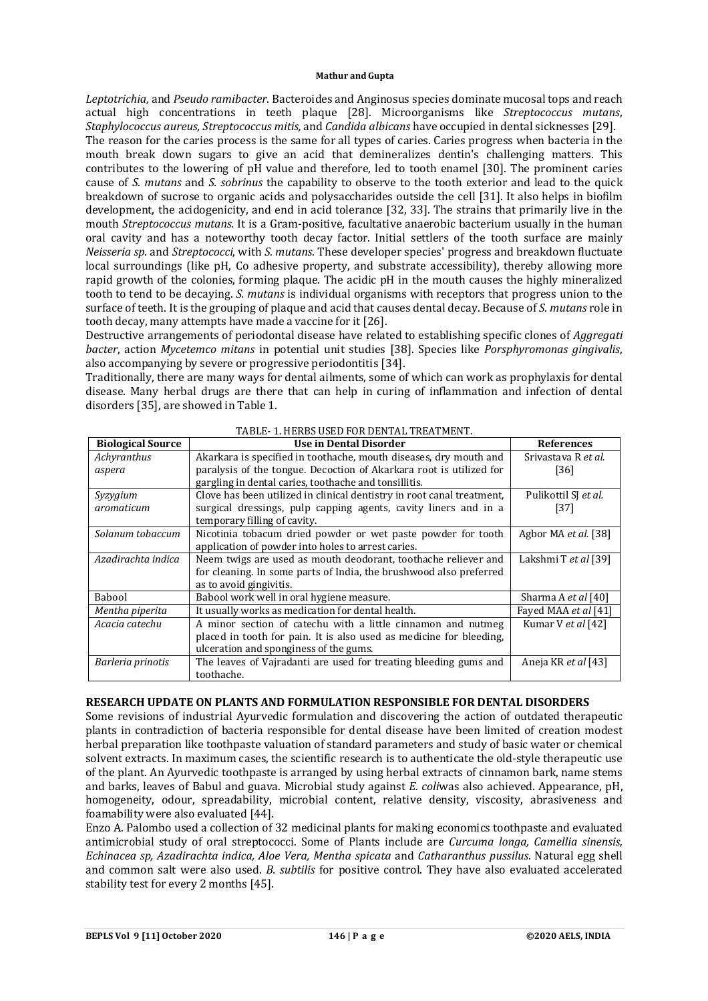*Leptotrichia,* and *Pseudo ramibacter*. Bacteroides and Anginosus species dominate mucosal tops and reach actual high concentrations in teeth plaque [28]. Microorganisms like *Streptococcus mutans*, *Staphylococcus aureus, Streptococcus mitis,* and *Candida albicans* have occupied in dental sicknesses [29].

The reason for the caries process is the same for all types of caries. Caries progress when bacteria in the mouth break down sugars to give an acid that demineralizes dentin's challenging matters. This contributes to the lowering of pH value and therefore, led to tooth enamel [30]. The prominent caries cause of *S. mutans* and *S. sobrinus* the capability to observe to the tooth exterior and lead to the quick breakdown of sucrose to organic acids and polysaccharides outside the cell [31]. It also helps in biofilm development, the acidogenicity, and end in acid tolerance [32, 33]. The strains that primarily live in the mouth *Streptococcus mutans*. It is a Gram-positive, facultative anaerobic bacterium usually in the human oral cavity and has a noteworthy tooth decay factor. Initial settlers of the tooth surface are mainly *Neisseria sp*. and *Streptococci*, with *S. mutans*. These developer species' progress and breakdown fluctuate local surroundings (like pH, Co adhesive property, and substrate accessibility), thereby allowing more rapid growth of the colonies, forming plaque. The acidic pH in the mouth causes the highly mineralized tooth to tend to be decaying. *S. mutans* is individual organisms with receptors that progress union to the surface of teeth. It is the grouping of plaque and acid that causes dental decay. Because of *S. mutans* role in tooth decay, many attempts have made a vaccine for it [26].

Destructive arrangements of periodontal disease have related to establishing specific clones of *Aggregati bacter*, action *Mycetemco mitans* in potential unit studies [38]. Species like *Porsphyromonas gingivalis*, also accompanying by severe or progressive periodontitis [34].

Traditionally, there are many ways for dental ailments, some of which can work as prophylaxis for dental disease. Many herbal drugs are there that can help in curing of inflammation and infection of dental disorders [35], are showed in Table 1.

| <b>Biological Source</b> | Use in Dental Disorder                                                 | <b>References</b>          |
|--------------------------|------------------------------------------------------------------------|----------------------------|
| Achyranthus              | Akarkara is specified in toothache, mouth diseases, dry mouth and      | Srivastava R et al.        |
| aspera                   | paralysis of the tongue. Decoction of Akarkara root is utilized for    | [36]                       |
|                          | gargling in dental caries, toothache and tonsillitis.                  |                            |
| Syzygium                 | Clove has been utilized in clinical dentistry in root canal treatment, | Pulikottil SI et al.       |
| aromaticum               | surgical dressings, pulp capping agents, cavity liners and in a        | [37]                       |
|                          | temporary filling of cavity.                                           |                            |
| Solanum tobaccum         | Nicotinia tobacum dried powder or wet paste powder for tooth           | Agbor MA et al. [38]       |
|                          | application of powder into holes to arrest caries.                     |                            |
| Azadirachta indica       | Neem twigs are used as mouth deodorant, toothache reliever and         | Lakshmi T et al [39]       |
|                          | for cleaning. In some parts of India, the brushwood also preferred     |                            |
|                          | as to avoid gingivitis.                                                |                            |
| Babool                   | Babool work well in oral hygiene measure.                              | Sharma A et al [40]        |
| Mentha piperita          | It usually works as medication for dental health.                      | Fayed MAA et al [41]       |
| Acacia catechu           | A minor section of catechu with a little cinnamon and nutmeg           | Kumar V et al [42]         |
|                          | placed in tooth for pain. It is also used as medicine for bleeding,    |                            |
|                          | ulceration and sponginess of the gums.                                 |                            |
| Barleria prinotis        | The leaves of Vajradanti are used for treating bleeding gums and       | Aneja KR <i>et al</i> [43] |
|                          | toothache.                                                             |                            |

### TABLE- 1. HERBS USED FOR DENTAL TREATMENT.

### **RESEARCH UPDATE ON PLANTS AND FORMULATION RESPONSIBLE FOR DENTAL DISORDERS**

Some revisions of industrial Ayurvedic formulation and discovering the action of outdated therapeutic plants in contradiction of bacteria responsible for dental disease have been limited of creation modest herbal preparation like toothpaste valuation of standard parameters and study of basic water or chemical solvent extracts. In maximum cases, the scientific research is to authenticate the old-style therapeutic use of the plant. An Ayurvedic toothpaste is arranged by using herbal extracts of cinnamon bark, name stems and barks, leaves of Babul and guava. Microbial study against *E. coli*was also achieved. Appearance, pH, homogeneity, odour, spreadability, microbial content, relative density, viscosity, abrasiveness and foamability were also evaluated [44].

Enzo A. Palombo used a collection of 32 medicinal plants for making economics toothpaste and evaluated antimicrobial study of oral streptococci. Some of Plants include are *Curcuma longa, Camellia sinensis, Echinacea sp, Azadirachta indica, Aloe Vera, Mentha spicata* and *Catharanthus pussilus*. Natural egg shell and common salt were also used. *B. subtilis* for positive control. They have also evaluated accelerated stability test for every 2 months [45].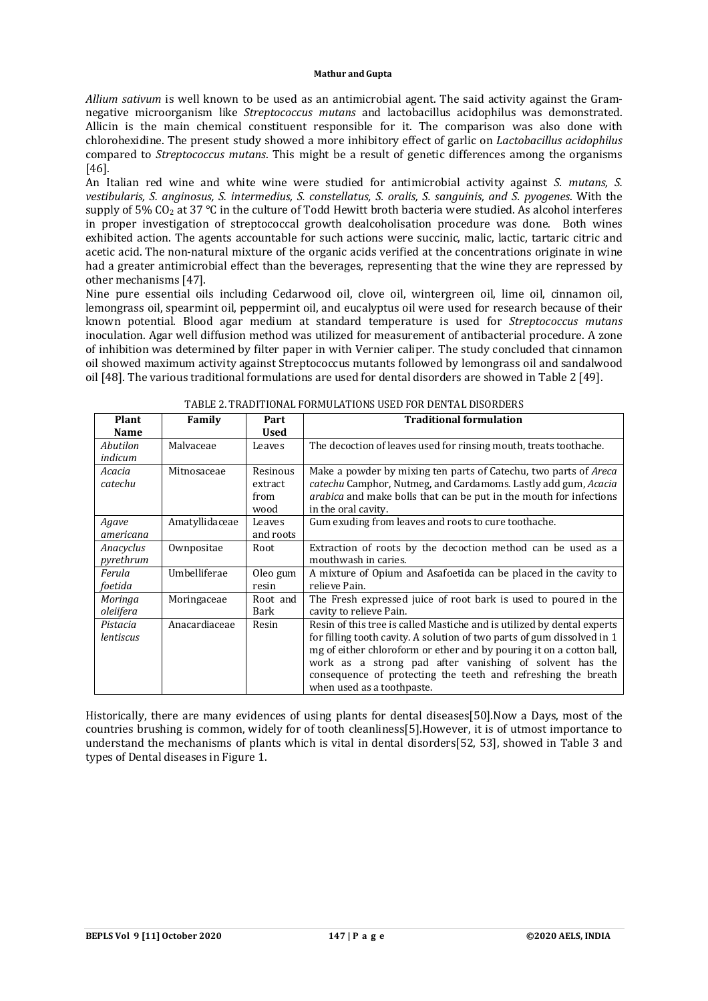*Allium sativum* is well known to be used as an antimicrobial agent. The said activity against the Gramnegative microorganism like *Streptococcus mutans* and lactobacillus acidophilus was demonstrated. Allicin is the main chemical constituent responsible for it. The comparison was also done with chlorohexidine. The present study showed a more inhibitory effect of garlic on *Lactobacillus acidophilus* compared to *Streptococcus mutans*. This might be a result of genetic differences among the organisms [46].

An Italian red wine and white wine were studied for antimicrobial activity against *S. mutans, S. vestibularis, S. anginosus, S. intermedius, S. constellatus, S. oralis, S. sanguinis, and S. pyogenes*. With the supply of 5% CO<sub>2</sub> at 37 °C in the culture of Todd Hewitt broth bacteria were studied. As alcohol interferes in proper investigation of streptococcal growth dealcoholisation procedure was done. Both wines exhibited action. The agents accountable for such actions were succinic, malic, lactic, tartaric citric and acetic acid. The non-natural mixture of the organic acids verified at the concentrations originate in wine had a greater antimicrobial effect than the beverages, representing that the wine they are repressed by other mechanisms [47].

Nine pure essential oils including Cedarwood oil, clove oil, wintergreen oil, lime oil, cinnamon oil, lemongrass oil, spearmint oil, peppermint oil, and eucalyptus oil were used for research because of their known potential. Blood agar medium at standard temperature is used for *Streptococcus mutans* inoculation. Agar well diffusion method was utilized for measurement of antibacterial procedure. A zone of inhibition was determined by filter paper in with Vernier caliper. The study concluded that cinnamon oil showed maximum activity against Streptococcus mutants followed by lemongrass oil and sandalwood oil [48]. The various traditional formulations are used for dental disorders are showed in Table 2 [49].

| Plant<br><b>Name</b>   | Family         | Part<br>Used                        | <b>Traditional formulation</b>                                                                                                                                                                                                                                                                                                                                                       |
|------------------------|----------------|-------------------------------------|--------------------------------------------------------------------------------------------------------------------------------------------------------------------------------------------------------------------------------------------------------------------------------------------------------------------------------------------------------------------------------------|
| Abutilon<br>indicum    | Malvaceae      | Leaves                              | The decoction of leaves used for rinsing mouth, treats toothache.                                                                                                                                                                                                                                                                                                                    |
| Acacia<br>catechu      | Mitnosaceae    | Resinous<br>extract<br>from<br>wood | Make a powder by mixing ten parts of Catechu, two parts of <i>Areca</i><br><i>catechu</i> Camphor, Nutmeg, and Cardamoms. Lastly add gum, <i>Acacia</i><br><i>arabica</i> and make bolls that can be put in the mouth for infections<br>in the oral cavity.                                                                                                                          |
| Agave<br>americana     | Amatyllidaceae | Leaves<br>and roots                 | Gum exuding from leaves and roots to cure toothache.                                                                                                                                                                                                                                                                                                                                 |
| Anacyclus<br>pyrethrum | Ownpositae     | Root                                | Extraction of roots by the decoction method can be used as a<br>mouthwash in caries.                                                                                                                                                                                                                                                                                                 |
| Ferula<br>foetida      | Umbelliferae   | Oleo gum<br>resin                   | A mixture of Opium and Asafoetida can be placed in the cavity to<br>relieve Pain.                                                                                                                                                                                                                                                                                                    |
| Moringa<br>oleiifera   | Moringaceae    | Root and<br>Bark                    | The Fresh expressed juice of root bark is used to poured in the<br>cavity to relieve Pain.                                                                                                                                                                                                                                                                                           |
| Pistacia<br>lentiscus  | Anacardiaceae  | Resin                               | Resin of this tree is called Mastiche and is utilized by dental experts<br>for filling tooth cavity. A solution of two parts of gum dissolved in 1<br>mg of either chloroform or ether and by pouring it on a cotton ball,<br>work as a strong pad after vanishing of solvent has the<br>consequence of protecting the teeth and refreshing the breath<br>when used as a toothpaste. |

TABLE 2. TRADITIONAL FORMULATIONS USED FOR DENTAL DISORDERS

Historically, there are many evidences of using plants for dental diseases[50].Now a Days, most of the countries brushing is common, widely for of tooth cleanliness[5].However, it is of utmost importance to understand the mechanisms of plants which is vital in dental disorders[52, 53], showed in Table 3 and types of Dental diseases in Figure 1.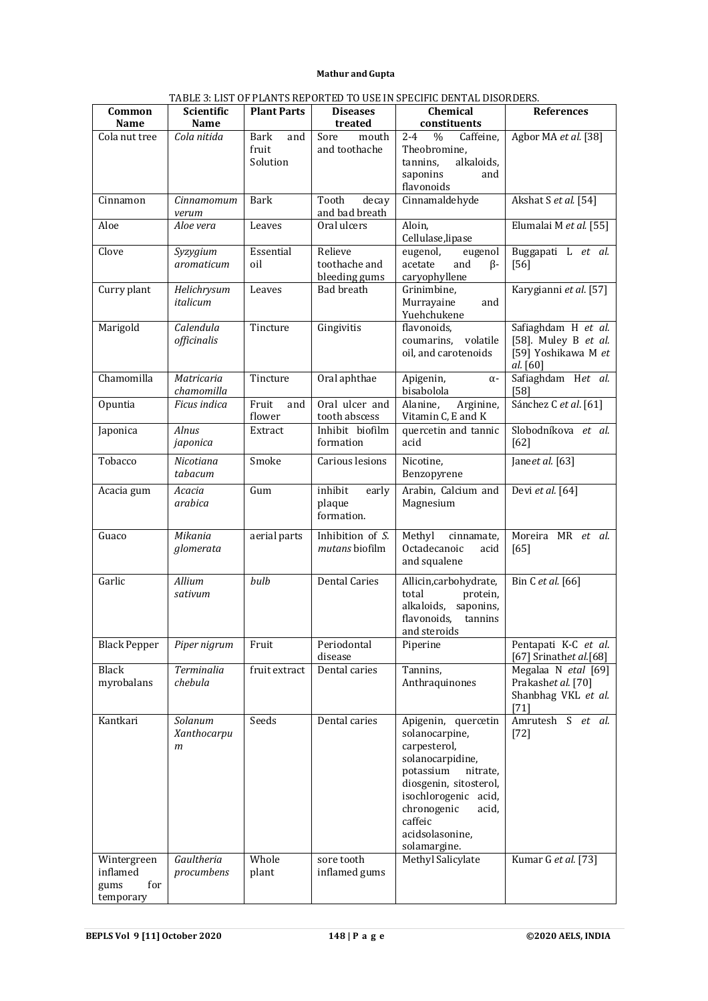|                     |                   |                    |                      | 1 ADLE 3. LIST OF FLANTS KEI ONTED TO OSE IN SEEGIFIG DENTAL DISONDENS. |                        |
|---------------------|-------------------|--------------------|----------------------|-------------------------------------------------------------------------|------------------------|
| Common              | <b>Scientific</b> | <b>Plant Parts</b> | <b>Diseases</b>      | Chemical                                                                | <b>References</b>      |
| <b>Name</b>         | Name              |                    | treated              | constituents                                                            |                        |
| Cola nut tree       | Cola nitida       | Bark<br>and        | Sore<br>mouth        | $2 - 4$<br>Caffeine,<br>$\%$                                            | Agbor MA et al. [38]   |
|                     |                   | fruit              | and toothache        | Theobromine,                                                            |                        |
|                     |                   | Solution           |                      | tannins,<br>alkaloids,                                                  |                        |
|                     |                   |                    |                      | saponins<br>and                                                         |                        |
|                     |                   |                    |                      | flavonoids                                                              |                        |
| Cinnamon            | Cinnamomum        | Bark               | Tooth<br>decay       | Cinnamaldehyde                                                          | Akshat S et al. [54]   |
|                     | verum             |                    | and bad breath       |                                                                         |                        |
| Aloe                | Aloe vera         | Leaves             | Oral ulcers          | Aloin,                                                                  | Elumalai M et al. [55] |
|                     |                   |                    |                      | Cellulase, lipase                                                       |                        |
| Clove               | Syzygium          | Essential          | Relieve              | eugenol,<br>eugenol                                                     | Buggapati L et al.     |
|                     | aromaticum        | oil                | toothache and        | acetate<br>and<br>$\beta$ -                                             | $[56]$                 |
|                     |                   |                    | bleeding gums        | caryophyllene                                                           |                        |
| Curry plant         | Helichrysum       | Leaves             | Bad breath           | Grinimbine,                                                             | Karygianni et al. [57] |
|                     | italicum          |                    |                      | Murrayaine<br>and                                                       |                        |
|                     |                   |                    |                      | Yuehchukene                                                             |                        |
| Marigold            | Calendula         | Tincture           | Gingivitis           | flavonoids,                                                             | Safiaghdam H et al.    |
|                     |                   |                    |                      | coumarins, volatile                                                     | [58]. Muley B et al.   |
|                     | officinalis       |                    |                      | oil, and carotenoids                                                    | [59] Yoshikawa M et    |
|                     |                   |                    |                      |                                                                         |                        |
|                     |                   |                    |                      |                                                                         | al. [60]               |
| Chamomilla          | Matricaria        | Tincture           | Oral aphthae         | Apigenin,<br>$\alpha$ -                                                 | Safiaghdam Het al.     |
|                     | chamomilla        |                    |                      | bisabolola                                                              | [58]                   |
| Opuntia             | Ficus indica      | Fruit<br>and       | Oral ulcer and       | Alanine,<br>Arginine,                                                   | Sánchez C et al. [61]  |
|                     |                   | flower             | tooth abscess        | Vitamin C, E and K                                                      |                        |
| Japonica            | Alnus             | Extract            | Inhibit biofilm      | quercetin and tannic                                                    | Slobodníkova et al.    |
|                     | japonica          |                    | formation            | acid                                                                    | [62]                   |
| Tobacco             | Nicotiana         | Smoke              | Carious lesions      | Nicotine,                                                               | Janeet al. [63]        |
|                     | tabacum           |                    |                      | Benzopyrene                                                             |                        |
|                     |                   |                    |                      |                                                                         |                        |
| Acacia gum          | Acacia            | Gum                | inhibit<br>early     | Arabin, Calcium and                                                     | Devi et al. [64]       |
|                     | arabica           |                    | plaque               | Magnesium                                                               |                        |
|                     |                   |                    | formation.           |                                                                         |                        |
| Guaco               | Mikania           | aerial parts       | Inhibition of S.     | Methyl<br>cinnamate,                                                    | Moreira MR et al.      |
|                     |                   |                    | mutans biofilm       | Octadecanoic                                                            |                        |
|                     | glomerata         |                    |                      | acid                                                                    | [65]                   |
|                     |                   |                    |                      | and squalene                                                            |                        |
| Garlic              | Allium            | bulb               | <b>Dental Caries</b> | Allicin, carbohydrate,                                                  | Bin C et al. [66]      |
|                     | sativum           |                    |                      | total<br>protein.                                                       |                        |
|                     |                   |                    |                      | alkaloids, saponins,                                                    |                        |
|                     |                   |                    |                      | flavonoids, tannins                                                     |                        |
|                     |                   |                    |                      | and steroids                                                            |                        |
| <b>Black Pepper</b> | Piper nigrum      | Fruit              | Periodontal          | Piperine                                                                | Pentapati K-C et al.   |
|                     |                   |                    | disease              |                                                                         | [67] Srinathet al.[68] |
| Black               | <b>Terminalia</b> | fruit extract      | Dental caries        | Tannins,                                                                | Megalaa N etal [69]    |
| myrobalans          | chebula           |                    |                      | Anthraquinones                                                          | Prakashet al. [70]     |
|                     |                   |                    |                      |                                                                         | Shanbhag VKL et al.    |
|                     |                   |                    |                      |                                                                         | $[71]$                 |
|                     |                   |                    |                      |                                                                         | Amrutesh S et al.      |
| Kantkari            | Solanum           | Seeds              | Dental caries        | Apigenin,<br>quercetin                                                  |                        |
|                     | Xanthocarpu       |                    |                      | solanocarpine,                                                          | $[72]$                 |
|                     | m                 |                    |                      | carpesterol,                                                            |                        |
|                     |                   |                    |                      | solanocarpidine,                                                        |                        |
|                     |                   |                    |                      | potassium<br>nitrate,                                                   |                        |
|                     |                   |                    |                      | diosgenin, sitosterol,                                                  |                        |
|                     |                   |                    |                      | isochlorogenic acid,                                                    |                        |
|                     |                   |                    |                      | chronogenic<br>acid,                                                    |                        |
|                     |                   |                    |                      | caffeic                                                                 |                        |
|                     |                   |                    |                      | acidsolasonine,                                                         |                        |
|                     |                   |                    |                      | solamargine.                                                            |                        |
| Wintergreen         | Gaultheria        | Whole              | sore tooth           | Methyl Salicylate                                                       | Kumar G et al. [73]    |
| inflamed            | procumbens        | plant              | inflamed gums        |                                                                         |                        |
| for<br>gums         |                   |                    |                      |                                                                         |                        |
| temporary           |                   |                    |                      |                                                                         |                        |

TABLE 3: LIST OF PLANTS REPORTED TO USE IN SPECIFIC DENTAL DISORDERS.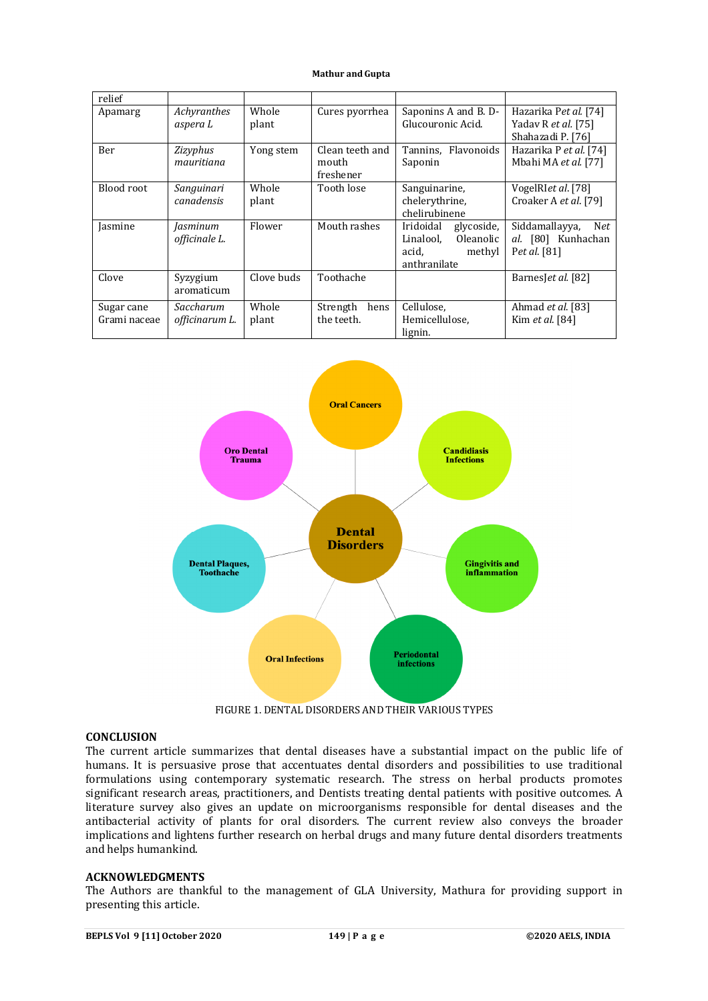| relief                     |                             |                |                                       |                                                                                      |                                                                   |
|----------------------------|-----------------------------|----------------|---------------------------------------|--------------------------------------------------------------------------------------|-------------------------------------------------------------------|
| Apamarg                    | Achyranthes<br>aspera L     | Whole<br>plant | Cures pyorrhea                        | Saponins A and B. D-<br>Glucouronic Acid.                                            | Hazarika Pet al. [74]<br>Yadav R et al. [75]<br>Shahazadi P. [76] |
| Ber                        | Zizyphus<br>mauritiana      | Yong stem      | Clean teeth and<br>mouth<br>freshener | Tannins, Flavonoids<br>Saponin                                                       | Hazarika P et al. [74]<br>Mbahi MA et al. [77]                    |
| Blood root                 | Sanguinari<br>canadensis    | Whole<br>plant | Tooth lose                            | Sanguinarine,<br>chelerythrine,<br>chelirubinene                                     | VogelRIet al. [78]<br>Croaker A et al. [79]                       |
| Jasmine                    | Jasminum<br>officinale L.   | Flower         | Mouth rashes                          | Iridoidal<br>glycoside,<br>Linalool.<br>Oleanolic<br>acid,<br>methyl<br>anthranilate | Siddamallayya,<br>Net<br>al. [80] Kunhachan<br>Pet al. [81]       |
| Clove                      | Syzygium<br>aromaticum      | Clove buds     | Toothache                             |                                                                                      | BarnesJet al. [82]                                                |
| Sugar cane<br>Grami naceae | Saccharum<br>officinarum L. | Whole<br>plant | Strength<br>hens<br>the teeth.        | Cellulose,<br>Hemicellulose,<br>lignin.                                              | Ahmad et al. [83]<br>Kim et al. [84]                              |



FIGURE 1. DENTAL DISORDERS AND THEIR VARIOUS TYPES

## **CONCLUSION**

The current article summarizes that dental diseases have a substantial impact on the public life of humans. It is persuasive prose that accentuates dental disorders and possibilities to use traditional formulations using contemporary systematic research. The stress on herbal products promotes significant research areas, practitioners, and Dentists treating dental patients with positive outcomes. A literature survey also gives an update on microorganisms responsible for dental diseases and the antibacterial activity of plants for oral disorders. The current review also conveys the broader implications and lightens further research on herbal drugs and many future dental disorders treatments and helps humankind.

## **ACKNOWLEDGMENTS**

The Authors are thankful to the management of GLA University, Mathura for providing support in presenting this article.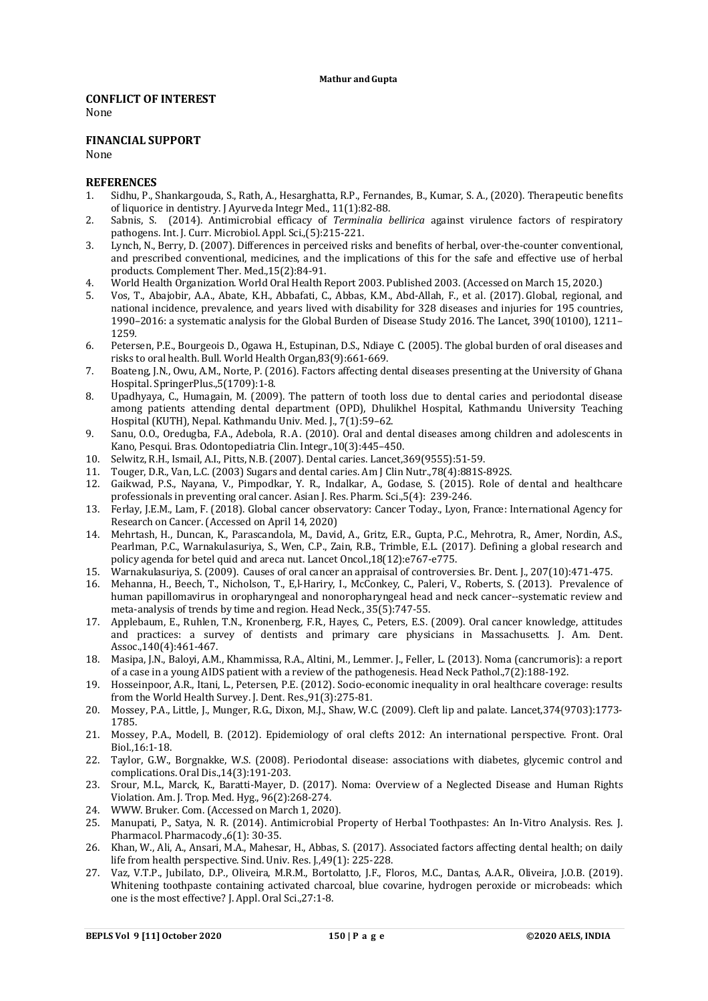### **CONFLICT OF INTEREST**

None

### **FINANCIAL SUPPORT**

None

### **REFERENCES**

- 1. Sidhu, P., Shankargouda, S., Rath, A., Hesarghatta, R.P., Fernandes, B., Kumar, S. A., (2020). Therapeutic benefits of liquorice in dentistry. J Ayurveda Integr Med., 11(1):82-88.
- 2. Sabnis, S. (2014). Antimicrobial efficacy of *Terminalia bellirica* against virulence factors of respiratory pathogens. Int. J. Curr. Microbiol. Appl. Sci.,(5):215-221.
- 3. Lynch, N., Berry, D. (2007). Differences in perceived risks and benefits of herbal, over-the-counter conventional, and prescribed conventional, medicines, and the implications of this for the safe and effective use of herbal products. Complement Ther. Med.,15(2):84-91.
- 4. World Health Organization. World Oral Health Report 2003. Published 2003. (Accessed on March 15, 2020.)
- 5. Vos, T., Abajobir, A.A., Abate, K.H., Abbafati, C., Abbas, K.M., Abd-Allah, F., et al. (2017). Global, regional, and national incidence, prevalence, and years lived with disability for 328 diseases and injuries for 195 countries, 1990–2016: a systematic analysis for the Global Burden of Disease Study 2016. The Lancet, 390(10100), 1211– 1259*.*
- 6. Petersen, P.E., Bourgeois D., Ogawa H., Estupinan, D.S., Ndiaye C. (2005). The global burden of oral diseases and risks to oral health. Bull. World Health Organ,83(9):661-669.
- 7. Boateng, J.N., Owu, A.M., Norte, P. (2016). Factors affecting dental diseases presenting at the University of Ghana Hospital. SpringerPlus.,5(1709):1-8.
- 8. Upadhyaya, C., Humagain, M. (2009). The pattern of tooth loss due to dental caries and periodontal disease among patients attending dental department (OPD), Dhulikhel Hospital, Kathmandu University Teaching Hospital (KUTH), Nepal. Kathmandu Univ. Med. J., 7(1):59–62.
- 9. Sanu, O.O., Oredugba, F.A., Adebola, R.A. (2010). Oral and dental diseases among children and adolescents in Kano, Pesqui. Bras. Odontopediatria Clin. Integr.,10(3):445–450.
- 10. Selwitz, R.H., Ismail, A.I., Pitts, N.B. (2007). Dental caries. Lancet,369(9555):51-59.
- 11. Touger, D.R., Van, L.C. (2003) Sugars and dental caries. Am J Clin Nutr.,78(4):881S-892S.
- 12. Gaikwad, P.S., Nayana, V., Pimpodkar, Y. R., Indalkar, A., Godase, S. (2015). Role of dental and healthcare professionals in preventing oral cancer. Asian J. Res. Pharm. Sci.,5(4): 239-246.
- 13. Ferlay, J.E.M., Lam, F. (2018). Global cancer observatory: Cancer Today., Lyon, France: International Agency for Research on Cancer. (Accessed on April 14, 2020)
- 14. Mehrtash, H., Duncan, K., Parascandola, M., David, A., Gritz, E.R., Gupta, P.C., Mehrotra, R., Amer, Nordin, A.S., Pearlman, P.C., Warnakulasuriya, S., Wen, C.P., Zain, R.B., Trimble, E.L. (2017). Defining a global research and policy agenda for betel quid and areca nut. Lancet Oncol.,18(12):e767-e775.
- 15. Warnakulasuriya, S. (2009). Causes of oral cancer an appraisal of controversies. Br. Dent. J., 207(10):471-475.
- 16. Mehanna, H., Beech, T., Nicholson, T., E,l-Hariry, I., McConkey, C., Paleri, V., Roberts, S. (2013). Prevalence of human papillomavirus in oropharyngeal and nonoropharyngeal head and neck cancer--systematic review and meta-analysis of trends by time and region. Head Neck., 35(5):747-55.
- 17. Applebaum, E., Ruhlen, T.N., Kronenberg, F.R., Hayes, C., Peters, E.S. (2009). Oral cancer knowledge, attitudes and practices: a survey of dentists and primary care physicians in Massachusetts. J. Am. Dent. Assoc.,140(4):461-467.
- 18. Masipa, J.N., Baloyi, A.M., Khammissa, R.A., Altini, M., Lemmer. J., Feller, L. (2013). Noma (cancrumoris): a report of a case in a young AIDS patient with a review of the pathogenesis. Head Neck Pathol.,7(2):188-192.
- 19. Hosseinpoor, A.R., Itani, L., Petersen, P.E. (2012). Socio-economic inequality in oral healthcare coverage: results from the World Health Survey. J. Dent. Res.,91(3):275-81.
- 20. Mossey, P.A., Little, J., Munger, R.G., Dixon, M.J., Shaw, W.C. (2009). Cleft lip and palate. Lancet,374(9703):1773- 1785.
- 21. Mossey, P.A., Modell, B. (2012). Epidemiology of oral clefts 2012: An international perspective. Front. Oral Biol.,16:1-18.
- 22. Taylor, G.W., Borgnakke, W.S. (2008). Periodontal disease: associations with diabetes, glycemic control and complications. Oral Dis.,14(3):191-203.
- 23. Srour, M.L., Marck, K., Baratti-Mayer, D. (2017). Noma: Overview of a Neglected Disease and Human Rights Violation. Am. J. Trop. Med. Hyg., 96(2):268-274.
- 24. WWW. Bruker. Com. (Accessed on March 1, 2020).
- 25. Manupati, P., Satya, N. R. (2014). Antimicrobial Property of Herbal Toothpastes: An In-Vitro Analysis. Res. J. Pharmacol. Pharmacody.,6(1): 30-35.
- 26. Khan, W., Ali, A., Ansari, M.A., Mahesar, H., Abbas, S. (2017). Associated factors affecting dental health; on daily life from health perspective. Sind. Univ. Res. J.,49(1): 225-228.
- 27. Vaz, V.T.P., Jubilato, D.P., Oliveira, M.R.M., Bortolatto, J.F., Floros, M.C., Dantas, A.A.R., Oliveira, J.O.B. (2019). Whitening toothpaste containing activated charcoal, blue covarine, hydrogen peroxide or microbeads: which one is the most effective? J. Appl. Oral Sci.,27:1-8.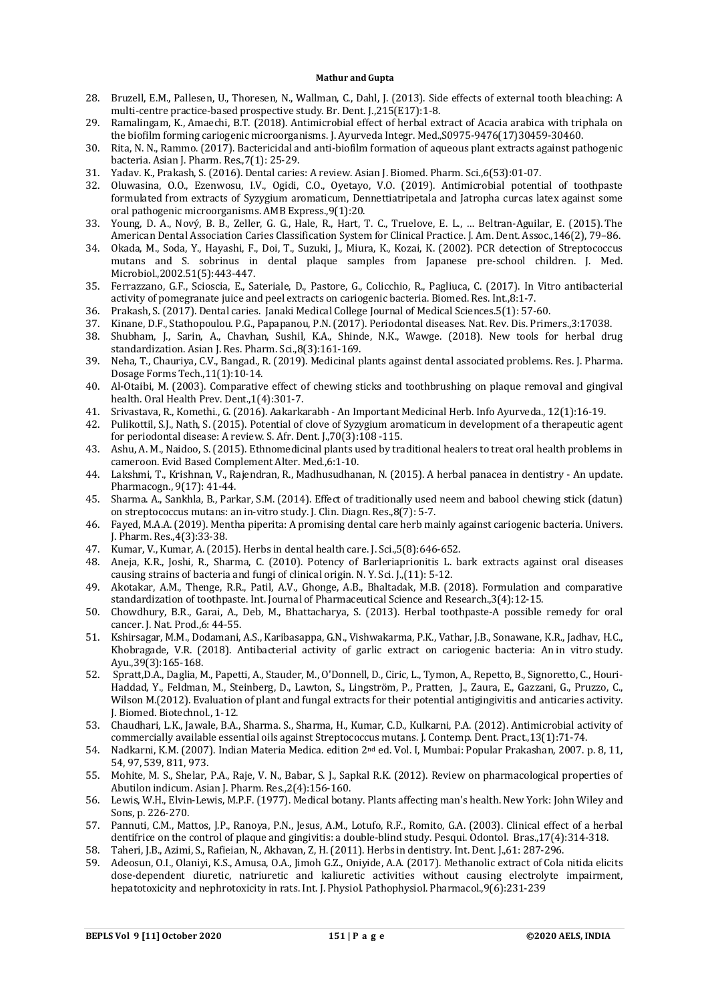- 28. Bruzell, E.M., Pallesen, U., Thoresen, N., Wallman, C., Dahl, J. (2013). Side effects of external tooth bleaching: A multi-centre practice-based prospective study. Br. Dent. J.,215(E17):1-8.
- 29. Ramalingam, K., Amaechi, B.T. (2018). Antimicrobial effect of herbal extract of Acacia arabica with triphala on the biofilm forming cariogenic microorganisms. J. Ayurveda Integr. Med.,S0975-9476(17)30459-30460.
- 30. Rita, N. N., Rammo. (2017). Bactericidal and anti-biofilm formation of aqueous plant extracts against pathogenic bacteria. Asian J. Pharm. Res.,7(1): 25-29.
- 31. Yadav. K., Prakash, S. (2016). Dental caries: A review. Asian J. Biomed. Pharm. Sci.,6(53):01-07.
- 32. Oluwasina, O.O., Ezenwosu, I.V., Ogidi, C.O., Oyetayo, V.O. (2019). Antimicrobial potential of toothpaste formulated from extracts of Syzygium aromaticum, Dennettiatripetala and Jatropha curcas latex against some oral pathogenic microorganisms. AMB Express.,9(1):20.
- 33. Young, D. A., Nový, B. B., Zeller, G. G., Hale, R., Hart, T. C., Truelove, E. L., … Beltran-Aguilar, E. (2015). The American Dental Association Caries Classification System for Clinical Practice. J. Am. Dent. Assoc.,146(2), 79–86.
- 34. Okada, M., Soda, Y., Hayashi, F., Doi, T., Suzuki, J., Miura, K., Kozai, K. (2002). PCR detection of Streptococcus mutans and S. sobrinus in dental plaque samples from Japanese pre-school children. J. Med. Microbiol.,2002.51(5):443-447.
- 35. Ferrazzano, G.F., Scioscia, E., Sateriale, D., Pastore, G., Colicchio, R., Pagliuca, C. (2017). In Vitro antibacterial activity of pomegranate juice and peel extracts on cariogenic bacteria. Biomed. Res. Int.,8:1-7.
- 36. Prakash, S. (2017). Dental caries. Janaki Medical College Journal of Medical Sciences.5(1): 57-60.
- 37. Kinane, D.F., Stathopoulou. P.G., Papapanou, P.N. (2017). Periodontal diseases. Nat. Rev. Dis. Primers.,3:17038.
- 38. Shubham, J., Sarin, A., Chavhan, Sushil, K.A., Shinde, N.K., Wawge. (2018). New tools for herbal drug standardization. Asian J. Res. Pharm. Sci.,8(3):161-169.
- 39. Neha, T., Chauriya, C.V., Bangad., R. (2019). Medicinal plants against dental associated problems. Res. J. Pharma. Dosage Forms Tech.,11(1):10-14.
- 40. Al-Otaibi, M. (2003). Comparative effect of chewing sticks and toothbrushing on plaque removal and gingival health. Oral Health Prev. Dent.,1(4):301-7.
- 41. Srivastava, R., Komethi., G. (2016). Aakarkarabh An Important Medicinal Herb. Info Ayurveda., 12(1):16-19.
- 42. Pulikottil, S.J., Nath, S. (2015). Potential of clove of Syzygium aromaticum in development of a therapeutic agent for periodontal disease: A review. S. Afr. Dent. J.,70(3):108 -115.
- 43. Ashu, A. M., Naidoo, S. (2015). Ethnomedicinal plants used by traditional healers to treat oral health problems in cameroon. Evid Based Complement Alter. Med.,6:1-10.
- 44. Lakshmi, T., Krishnan, V., Rajendran, R., Madhusudhanan, N. (2015). A herbal panacea in dentistry An update. Pharmacogn., 9(17): 41-44.
- 45. Sharma. A., Sankhla, B., Parkar, S.M. (2014). Effect of traditionally used neem and babool chewing stick (datun) on streptococcus mutans: an in-vitro study. J. Clin. Diagn. Res.,8(7): 5-7.
- 46. Fayed, M.A.A. (2019). Mentha piperita: A promising dental care herb mainly against cariogenic bacteria. Univers. J. Pharm. Res.,4(3):33-38.
- 47. Kumar, V., Kumar, A. (2015). Herbs in dental health care. J. Sci.,5(8):646-652.
- 48. Aneja, K.R., Joshi, R., Sharma, C. (2010). Potency of Barleriaprionitis L. bark extracts against oral diseases causing strains of bacteria and fungi of clinical origin. N. Y. Sci. J.,(11): 5-12.
- 49. Akotakar, A.M., Thenge, R.R., Patil, A.V., Ghonge, A.B., Bhaltadak, M.B. (2018). Formulation and comparative standardization of toothpaste. Int. Journal of Pharmaceutical Science and Research.,3(4):12-15.
- 50. Chowdhury, B.R., Garai, A., Deb, M., Bhattacharya, S. (2013). Herbal toothpaste-A possible remedy for oral cancer. J. Nat. Prod.,6: 44-55.
- 51. Kshirsagar, M.M., Dodamani, A.S., Karibasappa, G.N., Vishwakarma, P.K., Vathar, J.B., Sonawane, K.R., Jadhav, H.C., Khobragade, V.R. (2018). Antibacterial activity of garlic extract on cariogenic bacteria: An in vitro study. Ayu.,39(3):165-168.
- 52. Spratt,D.A., Daglia, M., Papetti, A., Stauder, M., O'Donnell, D., Ciric, L., Tymon, A., Repetto, B., Signoretto, C., Houri-Haddad, Y., Feldman, M., Steinberg, D., Lawton, S., Lingström, P., Pratten, J., Zaura, E., Gazzani, G., Pruzzo, C., Wilson M.(2012). Evaluation of plant and fungal extracts for their potential antigingivitis and anticaries activity. J. Biomed. Biotechnol., 1-12.
- 53. Chaudhari, L.K., Jawale, B.A., Sharma. S., Sharma, H., Kumar, C.D., Kulkarni, P.A. (2012). Antimicrobial activity of commercially available essential oils against Streptococcus mutans. J. Contemp. Dent. Pract.,13(1):71-74.
- 54. Nadkarni, K.M. (2007). Indian Materia Medica. edition 2nd ed. Vol. I, Mumbai: Popular Prakashan, 2007. p. 8, 11, 54, 97, 539, 811, 973.
- 55. Mohite, M. S., Shelar, P.A., Raje, V. N., Babar, S. J., Sapkal R.K. (2012). Review on pharmacological properties of Abutilon indicum. Asian J. Pharm. Res.,2(4):156-160.
- 56. Lewis, W.H., Elvin-Lewis, M.P.F. (1977). Medical botany. Plants affecting man's health. New York: John Wiley and Sons, p. 226-270.
- 57. Pannuti, C.M., Mattos, J.P., Ranoya, P.N., Jesus, A.M., Lotufo, R.F., Romito, G.A. (2003). Clinical effect of a herbal dentifrice on the control of plaque and gingivitis: a double-blind study. Pesqui. Odontol. Bras.,17(4):314-318. 58. Taheri, J.B., Azimi, S., Rafieian, N., Akhavan, Z, H. (2011). Herbs in dentistry. Int. Dent. J.,61: 287-296.
- 59. Adeosun, O.I., Olaniyi, K.S., Amusa, O.A., Jimoh G.Z., Oniyide, A.A. (2017). Methanolic extract of Cola nitida elicits dose-dependent diuretic, natriuretic and kaliuretic activities without causing electrolyte impairment, hepatotoxicity and nephrotoxicity in rats. Int. J. Physiol. Pathophysiol. Pharmacol., 9(6): 231-239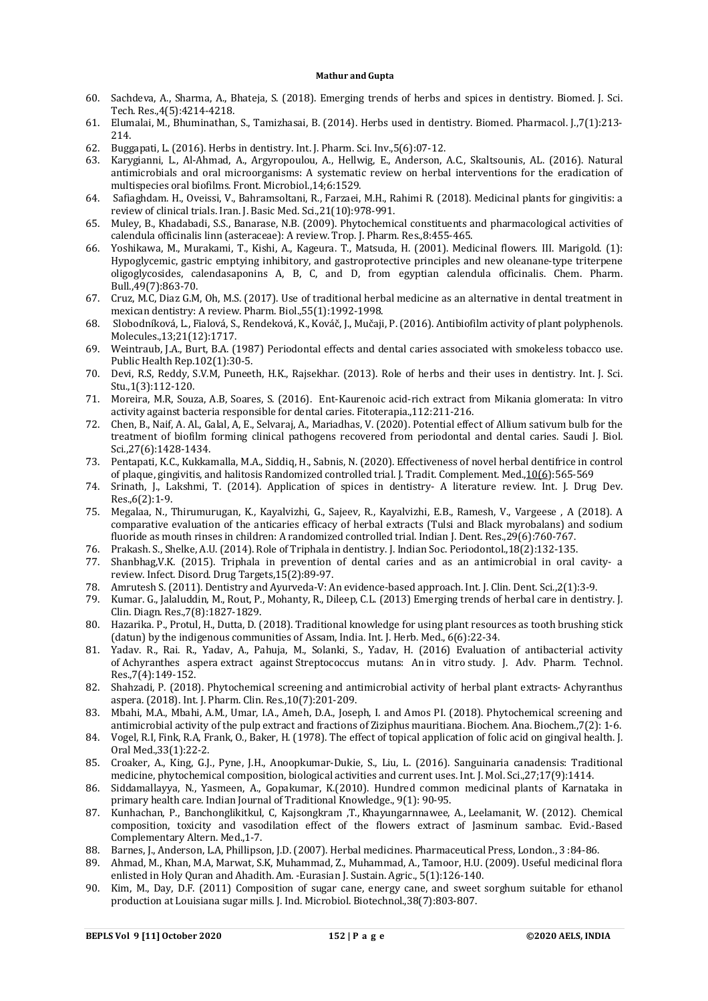- 60. Sachdeva, A., Sharma, A., Bhateja, S. (2018). Emerging trends of herbs and spices in dentistry. Biomed. J. Sci. Tech. Res.,4(5):4214-4218.
- 61. Elumalai, M., Bhuminathan, S., Tamizhasai, B. (2014). Herbs used in dentistry. Biomed. Pharmacol. J.,7(1):213- 214.
- 62. Buggapati, L. (2016). Herbs in dentistry. Int. J. Pharm. Sci. Inv.,5(6):07-12.
- 63. Karygianni, L., Al-Ahmad, A., Argyropoulou, A., Hellwig, E., Anderson, A.C., Skaltsounis, AL. (2016). Natural antimicrobials and oral microorganisms: A systematic review on herbal interventions for the eradication of multispecies oral biofilms. Front. Microbiol.,14;6:1529.
- 64. Safiaghdam. H., Oveissi, V., Bahramsoltani, R., Farzaei, M.H., Rahimi R. (2018). Medicinal plants for gingivitis: a review of clinical trials. Iran. J. Basic Med. Sci.,21(10):978-991.
- 65. Muley, B., Khadabadi, S.S., Banarase, N.B. (2009). Phytochemical constituents and pharmacological activities of calendula officinalis linn (asteraceae): A review. Trop. J. Pharm. Res.,8:455-465.
- 66. Yoshikawa, M., Murakami, T., Kishi, A., Kageura. T., Matsuda, H. (2001). Medicinal flowers. III. Marigold. (1): Hypoglycemic, gastric emptying inhibitory, and gastroprotective principles and new oleanane-type triterpene oligoglycosides, calendasaponins A, B, C, and D, from egyptian calendula officinalis. Chem. Pharm. Bull.,49(7):863-70.
- 67. Cruz, M.C, Diaz G.M, Oh, M.S. (2017). Use of traditional herbal medicine as an alternative in dental treatment in mexican dentistry: A review. Pharm. Biol.,55(1):1992-1998.
- 68. Slobodníková, L., Fialová, S., Rendeková, K., Kováč, J., Mučaji, P. (2016). Antibiofilm activity of plant polyphenols. Molecules.,13;21(12):1717.
- 69. Weintraub, J.A., Burt, B.A. (1987) Periodontal effects and dental caries associated with smokeless tobacco use. Public Health Rep.102(1):30-5.
- 70. Devi, R.S, Reddy, S.V.M, Puneeth, H.K., Rajsekhar. (2013). Role of herbs and their uses in dentistry. Int. J. Sci. Stu.,1(3):112-120.
- 71. Moreira, M.R, Souza, A.B, Soares, S. (2016). Ent-Kaurenoic acid-rich extract from Mikania glomerata: In vitro activity against bacteria responsible for dental caries. Fitoterapia.,112:211‐216.
- 72. Chen, B., Naif, A. Al., Galal, A, E., Selvaraj, A., Mariadhas, V. (2020). Potential effect of Allium sativum bulb for the treatment of biofilm forming clinical pathogens recovered from periodontal and dental caries. Saudi J. Biol. Sci.,27(6):1428-1434.
- 73. Pentapati, K.C., Kukkamalla, M.A., Siddiq, H., Sabnis, N. (2020). Effectiveness of novel herbal dentifrice in control of plaque, gingivitis, and halitosis Randomized controlled trial. J. Tradit. Complement. Med.,10(6):565-569
- 74. Srinath, J., Lakshmi, T. (2014). Application of spices in dentistry- A literature review. Int. J. Drug Dev. Res.,6(2):1-9.
- 75. Megalaa, N., Thirumurugan, K., Kayalvizhi, G., Sajeev, R., Kayalvizhi, E.B., Ramesh, V., Vargeese , A (2018). A comparative evaluation of the anticaries efficacy of herbal extracts (Tulsi and Black myrobalans) and sodium fluoride as mouth rinses in children: A randomized controlled trial. Indian J. Dent. Res.,29(6):760-767.
- 76. Prakash. S., Shelke, A.U. (2014). Role of Triphala in dentistry. J. Indian Soc. Periodontol.,18(2):132-135.
- 77. Shanbhag,V.K. (2015). Triphala in prevention of dental caries and as an antimicrobial in oral cavity- a review. Infect. Disord. Drug Targets,15(2):89‐97.
- 78. Amrutesh S. (2011). Dentistry and Ayurveda-V: An evidence-based approach. Int. J. Clin. Dent. Sci.,2(1):3-9.
- 79. Kumar. G., Jalaluddin, M., Rout, P., Mohanty, R., Dileep, C.L. (2013) Emerging trends of herbal care in dentistry. J. Clin. Diagn. Res.,7(8):1827-1829.
- 80. Hazarika. P., Protul, H., Dutta, D. (2018). Traditional knowledge for using plant resources as tooth brushing stick (datun) by the indigenous communities of Assam, India. Int. J. Herb. Med., 6(6):22-34.
- 81. Yadav. R., Rai. R., Yadav, A., Pahuja, M., Solanki, S., Yadav, H. (2016) Evaluation of antibacterial activity of Achyranthes aspera extract against Streptococcus mutans: An in vitro study. J. Adv. Pharm. Technol. Res.,7(4):149-152.
- 82. Shahzadi, P. (2018). Phytochemical screening and antimicrobial activity of herbal plant extracts- Achyranthus aspera. (2018). Int. J. Pharm. Clin. Res.,10(7):201-209.
- 83. Mbahi, M.A., Mbahi, A.M., Umar, I.A., Ameh, D.A., Joseph, I. and Amos PI. (2018). Phytochemical screening and antimicrobial activity of the pulp extract and fractions of Ziziphus mauritiana. Biochem. Ana. Biochem.,7(2): 1-6.
- 84. Vogel, R.I, Fink, R.A, Frank, O., Baker, H. (1978). The effect of topical application of folic acid on gingival health. J. Oral Med.,33(1):22-2.
- 85. Croaker, A., King, G.J., Pyne, J.H., Anoopkumar-Dukie, S., Liu, L. (2016). Sanguinaria canadensis: Traditional medicine, phytochemical composition, biological activities and current uses. Int. J. Mol. Sci.,27;17(9):1414.
- 86. Siddamallayya, N., Yasmeen, A., Gopakumar, K.(2010). Hundred common medicinal plants of Karnataka in primary health care. Indian Journal of Traditional Knowledge., 9(1): 90-95.
- 87. Kunhachan, P., Banchonglikitkul, C, Kajsongkram ,T., Khayungarnnawee, A., Leelamanit, W. (2012). Chemical composition, toxicity and vasodilation effect of the flowers extract of Jasminum sambac. Evid.-Based Complementary Altern. Med.,1-7.
- 88. Barnes, J., Anderson, L.A, Phillipson, J.D. (2007). Herbal medicines. Pharmaceutical Press, London., 3 :84-86.
- 89. Ahmad, M., Khan, M.A, Marwat, S.K, Muhammad, Z., Muhammad, A., Tamoor, H.U. (2009). Useful medicinal flora enlisted in Holy Quran and Ahadith. Am. -Eurasian J. Sustain. Agric., 5(1):126-140.
- 90. Kim, M., Day, D.F. (2011) Composition of sugar cane, energy cane, and sweet sorghum suitable for ethanol production at Louisiana sugar mills. J. Ind. Microbiol. Biotechnol.,38(7):803-807.